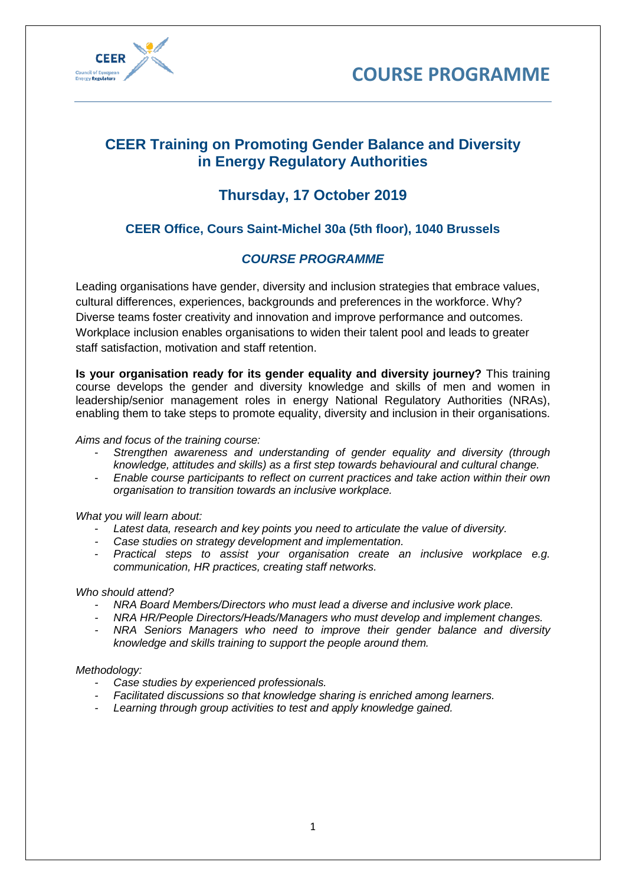



# **CEER Training on Promoting Gender Balance and Diversity in Energy Regulatory Authorities**

# **Thursday, 17 October 2019**

## **CEER Office, Cours Saint-Michel 30a (5th floor), 1040 Brussels**

## *COURSE PROGRAMME*

Leading organisations have gender, diversity and inclusion strategies that embrace values, cultural differences, experiences, backgrounds and preferences in the workforce. Why? Diverse teams foster creativity and innovation and improve performance and outcomes. Workplace inclusion enables organisations to widen their talent pool and leads to greater staff satisfaction, motivation and staff retention.

**Is your organisation ready for its gender equality and diversity journey?** This training course develops the gender and diversity knowledge and skills of men and women in leadership/senior management roles in energy National Regulatory Authorities (NRAs), enabling them to take steps to promote equality, diversity and inclusion in their organisations.

#### *Aims and focus of the training course:*

- *Strengthen awareness and understanding of gender equality and diversity (through knowledge, attitudes and skills) as a first step towards behavioural and cultural change.*
- *Enable course participants to reflect on current practices and take action within their own organisation to transition towards an inclusive workplace.*

#### *What you will learn about:*

- Latest data, research and key points you need to articulate the value of diversity.
- *- Case studies on strategy development and implementation.*
- *Practical steps to assist your organisation create an inclusive workplace e.g. communication, HR practices, creating staff networks.*

#### *Who should attend?*

- *- NRA Board Members/Directors who must lead a diverse and inclusive work place.*
- *- NRA HR/People Directors/Heads/Managers who must develop and implement changes.*
- *- NRA Seniors Managers who need to improve their gender balance and diversity knowledge and skills training to support the people around them.*

#### *Methodology:*

- *- Case studies by experienced professionals.*
- *- Facilitated discussions so that knowledge sharing is enriched among learners.*
- *- Learning through group activities to test and apply knowledge gained.*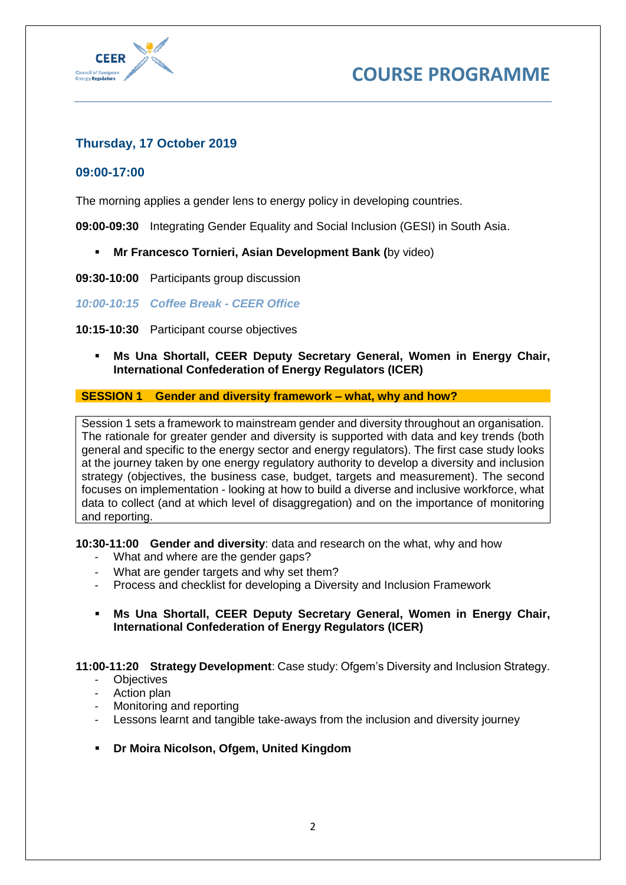



## **Thursday, 17 October 2019**

## **09:00-17:00**

The morning applies a gender lens to energy policy in developing countries.

**09:00-09:30** Integrating Gender Equality and Social Inclusion (GESI) in South Asia.

- **Mr Francesco Tornieri, Asian Development Bank (**by video)
- **09:30-10:00** Participants group discussion

*10:00-10:15 Coffee Break - CEER Office*

- **10:15-10:30** Participant course objectives
	- **Ms Una Shortall, CEER Deputy Secretary General, Women in Energy Chair, International Confederation of Energy Regulators (ICER)**

**SESSION 1 Gender and diversity framework – what, why and how?**

Session 1 sets a framework to mainstream gender and diversity throughout an organisation. The rationale for greater gender and diversity is supported with data and key trends (both general and specific to the energy sector and energy regulators). The first case study looks at the journey taken by one energy regulatory authority to develop a diversity and inclusion strategy (objectives, the business case, budget, targets and measurement). The second focuses on implementation - looking at how to build a diverse and inclusive workforce, what data to collect (and at which level of disaggregation) and on the importance of monitoring and reporting.

**10:30-11:00 Gender and diversity**: data and research on the what, why and how

- *-* What and where are the gender gaps?
- What are gender targets and why set them?
- *-* Process and checklist for developing a Diversity and Inclusion Framework
- **Ms Una Shortall, CEER Deputy Secretary General, Women in Energy Chair, International Confederation of Energy Regulators (ICER)**

**11:00-11:20 Strategy Development**: Case study: Ofgem's Diversity and Inclusion Strategy.

- *-* Objectives
- *-* Action plan
- *-* Monitoring and reporting
- *-* Lessons learnt and tangible take-aways from the inclusion and diversity journey
- **Dr Moira Nicolson, Ofgem, United Kingdom**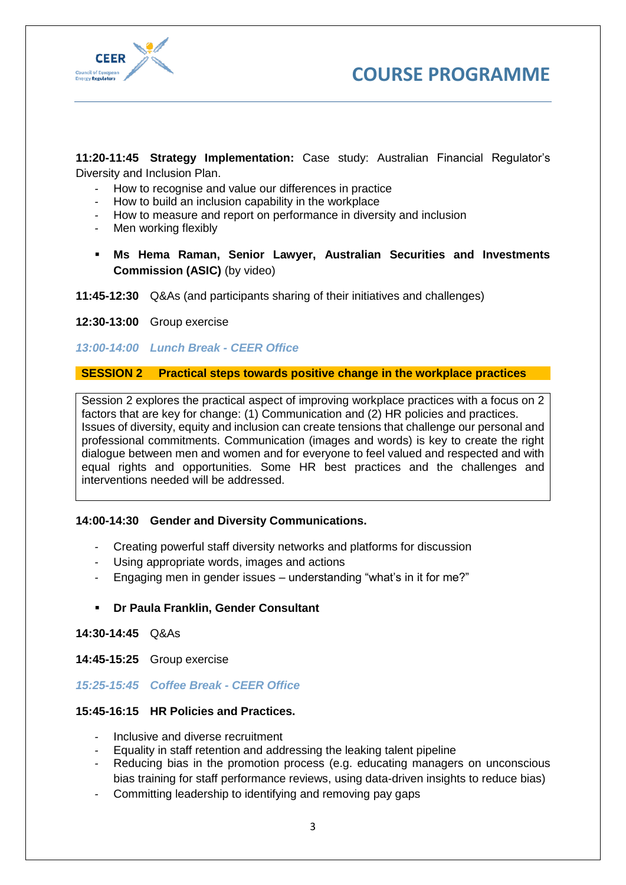



**11:20-11:45 Strategy Implementation:** Case study: Australian Financial Regulator's Diversity and Inclusion Plan.

- *-* How to recognise and value our differences in practice
- *-* How to build an inclusion capability in the workplace
- *-* How to measure and report on performance in diversity and inclusion
- *-* Men working flexibly
- **Ms Hema Raman, Senior Lawyer, Australian [Securities and Investments](https://www.accc.gov.au/) [Commission](https://www.accc.gov.au/) (ASIC)** (by video)

#### **11:45-12:30** Q&As (and participants sharing of their initiatives and challenges)

**12:30-13:00** Group exercise

#### *13:00-14:00 Lunch Break - CEER Office*

## **SESSION 2 Practical steps towards positive change in the workplace practices**

Session 2 explores the practical aspect of improving workplace practices with a focus on 2 factors that are key for change: (1) Communication and (2) HR policies and practices. Issues of diversity, equity and inclusion can create tensions that challenge our personal and professional commitments. Communication (images and words) is key to create the right dialogue between men and women and for everyone to feel valued and respected and with equal rights and opportunities. Some HR best practices and the challenges and interventions needed will be addressed.

## **14:00-14:30 Gender and Diversity Communications.**

- *-* Creating powerful staff diversity networks and platforms for discussion
- *-* Using appropriate words, images and actions
- *-* Engaging men in gender issues understanding "what's in it for me?"
- **Dr Paula Franklin, Gender Consultant**

#### **14:30-14:45** Q&As

**14:45-15:25** Group exercise

## *15:25-15:45 Coffee Break - CEER Office*

#### **15:45-16:15 HR Policies and Practices.**

- *-* Inclusive and diverse recruitment
- *-* Equality in staff retention and addressing the leaking talent pipeline
- *-* Reducing bias in the promotion process (e.g. educating managers on unconscious bias training for staff performance reviews, using data-driven insights to reduce bias)
- *-* Committing leadership to identifying and removing pay gaps